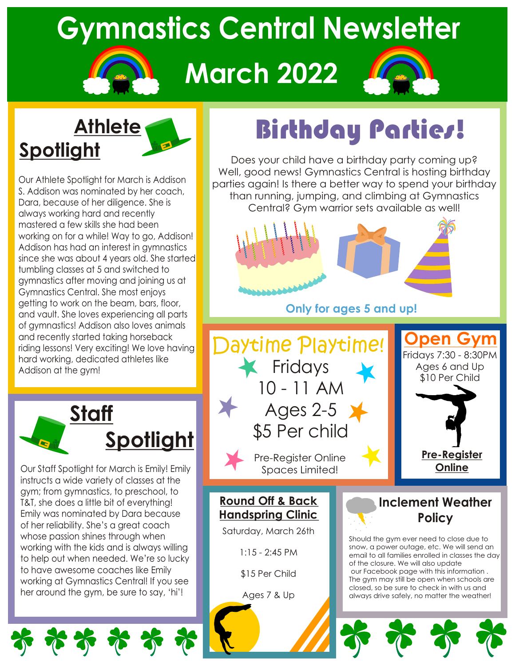# **Gymnastics Central Newsletter**

# **March 2022**



### **Athlete Spotlight**

Our Athlete Spotlight for March is Addison S. Addison was nominated by her coach, Dara, because of her diligence. She is always working hard and recently mastered a few skills she had been working on for a while! Way to go, Addison! Addison has had an interest in gymnastics since she was about 4 years old. She started tumbling classes at 5 and switched to gymnastics after moving and joining us at Gymnastics Central. She most enjoys getting to work on the beam, bars, floor, and vault. She loves experiencing all parts of gymnastics! Addison also loves animals and recently started taking horseback riding lessons! Very exciting! We love having hard working, dedicated athletes like Addison at the gym!



Our Staff Spotlight for March is Emily! Emily instructs a wide variety of classes at the gym; from gymnastics, to preschool, to T&T, she does a little bit of everything! Emily was nominated by Dara because of her reliability. She's a great coach whose passion shines through when working with the kids and is always willing to help out when needed. We're so lucky to have awesome coaches like Emily working at Gymnastics Central! If you see her around the gym, be sure to say, 'hi'!

おおおす

# Birthday Parties!

Does your child have a birthday party coming up? Well, good news! Gymnastics Central is hosting birthday parties again! Is there a better way to spend your birthday than running, jumping, and climbing at Gymnastics Central? Gym warrior sets available as well!



**Only for ages 5 and up!**



### **Round Off & Back Handspring Clinic**

Saturday, March 26th

1:15 - 2:45 PM

\$15 Per Child

Ages 7 & Up

### **Inclement Weather Policy**

Should the gym ever need to close due to snow, a power outage, etc. We will send an email to all families enrolled in classes the day of the closure. We will also update our Facebook page with this information . The gym may still be open when schools are closed, so be sure to check in with us and always drive safely, no matter the weather!